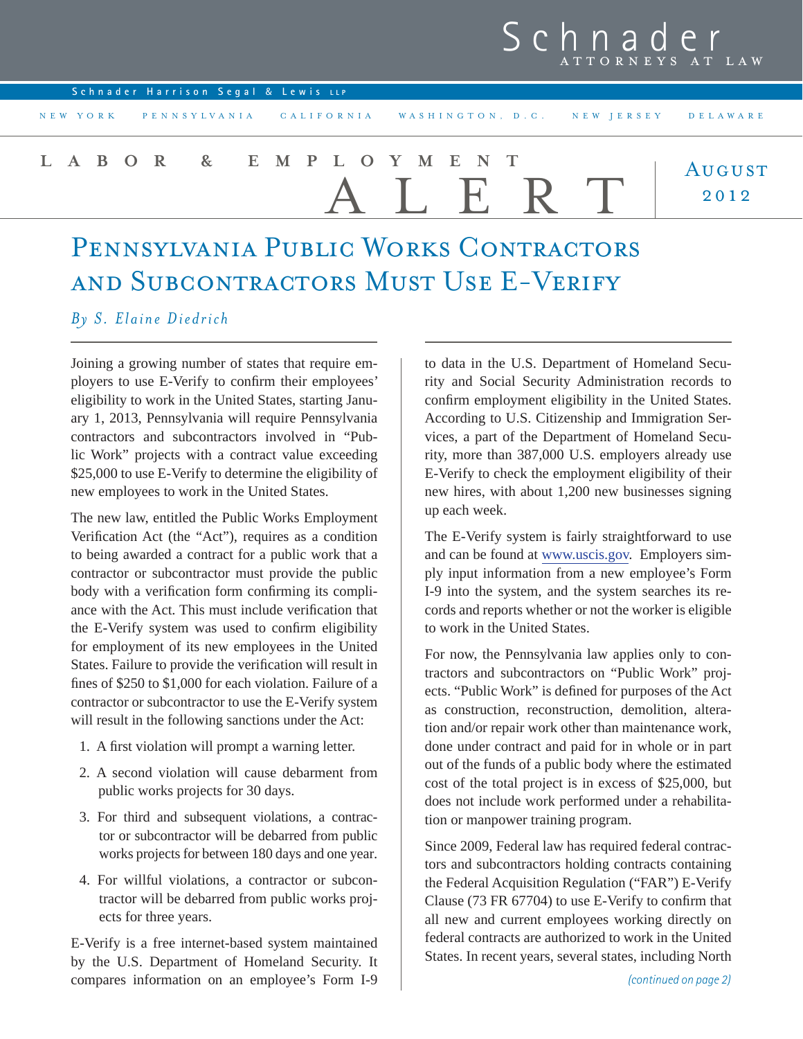|                                     |                                                                       | <b>J C II II A U C I</b><br>ATTORNEYS AT LAW |
|-------------------------------------|-----------------------------------------------------------------------|----------------------------------------------|
| Schnader Harrison Segal & Lewis LLP |                                                                       |                                              |
|                                     | NEW YORK PENNSYLVANIA CALIFORNIA WASHINGTON, D.C. NEW JERSEY DELAWARE |                                              |
| LABOR & EMPLOYMENT                  |                                                                       | AUGUST                                       |

ALERT

Pennsylvania Public Works Contractors and Subcontractors Must Use E-Verify

## *By S. Elaine Diedrich*

Joining a growing number of states that require employers to use E-Verify to confirm their employees' eligibility to work in the United States, starting January 1, 2013, Pennsylvania will require Pennsylvania contractors and subcontractors involved in "Public Work" projects with a contract value exceeding \$25,000 to use E-Verify to determine the eligibility of new employees to work in the United States.

The new law, entitled the Public Works Employment Verification Act (the "Act"), requires as a condition to being awarded a contract for a public work that a contractor or subcontractor must provide the public body with a verification form confirming its compliance with the Act. This must include verification that the E-Verify system was used to confirm eligibility for employment of its new employees in the United States. Failure to provide the verification will result in fines of \$250 to \$1,000 for each violation. Failure of a contractor or subcontractor to use the E-Verify system will result in the following sanctions under the Act:

- 1. A first violation will prompt a warning letter.
- 2. A second violation will cause debarment from public works projects for 30 days.
- 3. For third and subsequent violations, a contractor or subcontractor will be debarred from public works projects for between 180 days and one year.
- 4. For willful violations, a contractor or subcontractor will be debarred from public works projects for three years.

E-Verify is a free internet-based system maintained by the U.S. Department of Homeland Security. It compares information on an employee's Form I-9

to data in the U.S. Department of Homeland Security and Social Security Administration records to confirm employment eligibility in the United States. According to U.S. Citizenship and Immigration Services, a part of the Department of Homeland Security, more than 387,000 U.S. employers already use E-Verify to check the employment eligibility of their new hires, with about 1,200 new businesses signing up each week.

Schnader

2012

The E-Verify system is fairly straightforward to use and can be found at www.uscis.gov. Employers simply input information from a new employee's Form I-9 into the system, and the system searches its records and reports whether or not the worker is eligible to work in the United States.

For now, the Pennsylvania law applies only to contractors and subcontractors on "Public Work" projects. "Public Work" is defined for purposes of the Act as construction, reconstruction, demolition, alteration and/or repair work other than maintenance work, done under contract and paid for in whole or in part out of the funds of a public body where the estimated cost of the total project is in excess of \$25,000, but does not include work performed under a rehabilitation or manpower training program.

Since 2009, Federal law has required federal contractors and subcontractors holding contracts containing the Federal Acquisition Regulation ("FAR") E-Verify Clause  $(73 FR 67704)$  to use E-Verify to confirm that all new and current employees working directly on federal contracts are authorized to work in the United States. In recent years, several states, including North